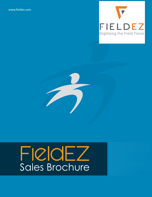[www.fieldez.com](https://www.fieldez.com/emob/)



# FieldEZ Sales Brochure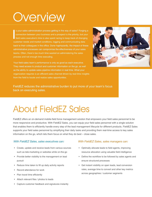# **Overview**

<sup>1</sup> s your sales administration process getting in the way of sales? Forging a connection between your business and a prospect is the priority, but your field sales executive's time is also spent racing to keep track of changing customer needs and market conditions, logging and communicating data back to their colleagues in the office. Done haphazardly, the impact of these administrative processes can compromise the effectiveness of your sales teams. Often, there's too much time wasted on administering the sales process and not enough time executing.

Your field sales team's performance is only as good as each executive. They need access to product and customer information on the go, as well as the ability to update sales pipeline information in real time. What your organization requires is an efficient sales channel driven by real-time insights from the field to locate and realize sales opportunities.



FieldEZ reduces the administrative burden to put more of your team's focus back on executing sales.

### About FieldEZ Sales

FieldEZ offers an on-demand mobile-field force management solution that empowers your field sales personnel to be more responsive and productive. With FieldEZ Sales, you can equip your field sales personnel with a single solution that enables them to efficiently handle every step of the lead management lifecycle for different products. FieldEZ Sales supports your field sales personnel by simplifying their daily tasks and providing them real-time access to key sales information on the go, which lets them focus on what they do best – close sales.

#### *With FieldEZ Sales, sales executives can: With FieldEZ Sales, sales managers can:*

- Create, update and receive leads from various sources such as tele-marketing or websites while on-the-go
- Provide better visibility to the management on lead pursuit
- Reduce time taken to fill up daily activity reports
- Record attendance for work
- Plan travel time efficiently
- Attach relevant files / photos to leads
- Capture customer feedback and signatures instantly

- Optimally allocate leads to field agents, improving resource allocation using valuable field intelligence
- Define the workflow to be followed by sales agents and ensure structured processes
- Get instant visibility on open leads, lead conversion rates, average time to convert and other key metrics across geographies / customer segments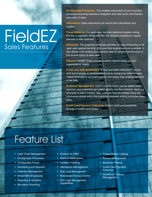# **FieldEZ** Sales Features

**Configurable Processes:** This enables automation of your business processes ensuring seamless integration with field users and flawless execution of sales.

**Attendance:** Sales executives can record their attendance and location.

**Travel Distance:** For each user, the total distance travelled during the day is captured. Along with this, the distance travelled at regular intervals is also captured.

**Scheduler:** The graphical scheduler provides for easy scheduling of all open calls against the time slots your field executives have available. It also allows color-coding each process step for quicker identification of the current status of each call.

**Reports:** FieldEZ Sales provides custom reports based on your organizations' needs.

**E-mail and SMS Notification:** E-mail and SMS notifications can be sent automatically at predetermined points during your sales process. These notifications can even use the information that is being captured in the field.

**Customer Management:** Customer information can be edited when required, and customers get added directly into the customer database whenever a call is created. New calls can then be created using the information stored within the customer database ending redundant data entry.

**Credit Card Payment Collection:** Collect credit-card payments through a mobile card reader.

## Feature List

- Lead Ticket Management
- Configurable Processes
- Configurable Forms
- Scheduling and Dispatch
- Calendar Management
- Email/SMS Broadcasts
- Reporting & Analytics
- Bio-metric Scanning
- Connect to CRM
- Alerts & Notifications
- Location Tracking
- Attendance Management
- Bulk Lead Management
- Role-based Access Control
- Rich User Management **Capabilities**
- Product/Spare Catalog
- Partner Management
- Bluetooth Printing
- Credit Card Payment **Collection**
- Workforce Territory Management

÷.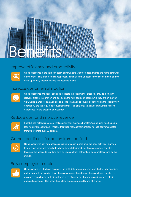

#### Improve efficiency and productivity



Sales executives in the field can easily communicate with their departments and managers while on the move. This ensures quick responses, eliminates the unnecessary office commute and the filling up of daily reports, making the best use of time.

### Increase customer satisfaction



Sales executives are better equipped to locate the customer or prospect, provide them with relevant product information and decide on the next course of action while they are on the first visit. Sales managers can also assign a lead to a sales executive depending on the locality they operate in, and the required product familiarity. This efficiency translates into a more fulfilling experience for the prospect or customer.

#### Reduce cost and improve revenue



FieldEZ has helped customers realize significant business benefits. Our solution has helped a leading private sector bank improve their lead management, increasing lead conversion rates from 8 percent to over 30 percen**t.**

### Gather real-time information from the field



Sales executives can now access critical information in real-time, log daily activities, manage leads, close sales and report attendance through their mobiles. Sales managers can also leverage this access to real-time data by keeping track of their field personnel locations by the minute.

#### Raise employee morale



Sales executives who have access to the right data are empowered to make the right decisions on the spot without slowing down the sales process. Members of the sales team can also be assigned cases based on their preferred area of expertise, thereby maximizing use of their domain knowledge. This helps them close cases more quickly and efficiently.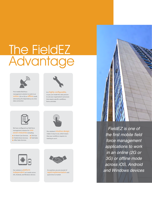# The FieldEZ **Advantage**



First mobile field force management solution to work in an online (2G or 3G) or offline mode eliminating the dependency on a live data connection



We have configured our field force management solution for **OVET** seven industries including:

**After Sales Services** ● In Home Care Services ● Oil & Gas  $\bullet$  Field & Home Services  $\bullet$  Field Sales





Our solution is **platform** independent as it works across iOS, Android, and Windows devices



It is highly configurable, so you can model the sales process to suit your organization's processes that require specific workflows, forms and data



Our solution's intuitive design makes it easy to use, which means that your workforce requires no training to use it



As a partner, you are assured of rapid implementation and quick time-to-market



*FieldEZ is one of*  the first mobile field *force management applications to work in an online (2G or*  3G) or offline mode *across iOS, Android and Windows devices*